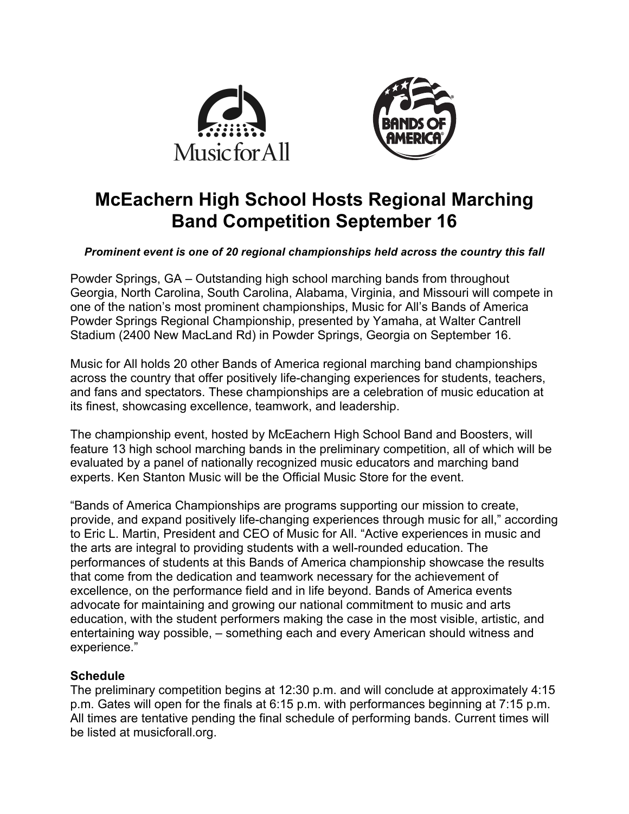



# **McEachern High School Hosts Regional Marching Band Competition September 16**

## *Prominent event is one of 20 regional championships held across the country this fall*

Powder Springs, GA – Outstanding high school marching bands from throughout Georgia, North Carolina, South Carolina, Alabama, Virginia, and Missouri will compete in one of the nation's most prominent championships, Music for All's Bands of America Powder Springs Regional Championship, presented by Yamaha, at Walter Cantrell Stadium (2400 New MacLand Rd) in Powder Springs, Georgia on September 16.

Music for All holds 20 other Bands of America regional marching band championships across the country that offer positively life-changing experiences for students, teachers, and fans and spectators. These championships are a celebration of music education at its finest, showcasing excellence, teamwork, and leadership.

The championship event, hosted by McEachern High School Band and Boosters, will feature 13 high school marching bands in the preliminary competition, all of which will be evaluated by a panel of nationally recognized music educators and marching band experts. Ken Stanton Music will be the Official Music Store for the event.

"Bands of America Championships are programs supporting our mission to create, provide, and expand positively life-changing experiences through music for all," according to Eric L. Martin, President and CEO of Music for All. "Active experiences in music and the arts are integral to providing students with a well-rounded education. The performances of students at this Bands of America championship showcase the results that come from the dedication and teamwork necessary for the achievement of excellence, on the performance field and in life beyond. Bands of America events advocate for maintaining and growing our national commitment to music and arts education, with the student performers making the case in the most visible, artistic, and entertaining way possible, – something each and every American should witness and experience."

# **Schedule**

The preliminary competition begins at 12:30 p.m. and will conclude at approximately 4:15 p.m. Gates will open for the finals at 6:15 p.m. with performances beginning at 7:15 p.m. All times are tentative pending the final schedule of performing bands. Current times will be listed at musicforall.org.